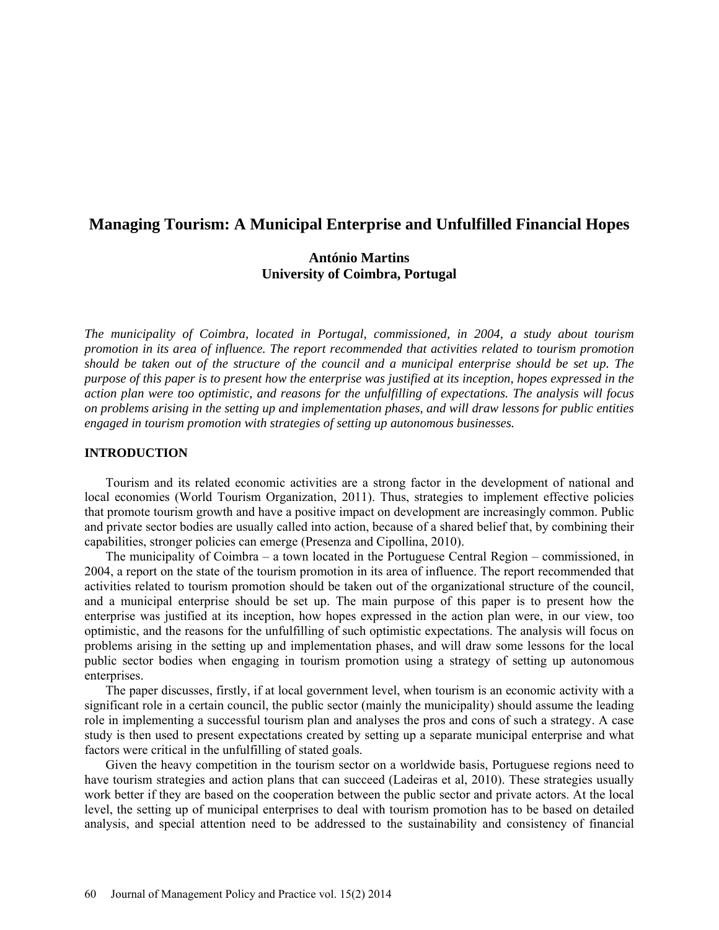# **Managing Tourism: A Municipal Enterprise and Unfulfilled Financial Hopes**

# **António Martins University of Coimbra, Portugal**

*The municipality of Coimbra, located in Portugal, commissioned, in 2004, a study about tourism promotion in its area of influence. The report recommended that activities related to tourism promotion should be taken out of the structure of the council and a municipal enterprise should be set up. The purpose of this paper is to present how the enterprise was justified at its inception, hopes expressed in the action plan were too optimistic, and reasons for the unfulfilling of expectations. The analysis will focus on problems arising in the setting up and implementation phases, and will draw lessons for public entities engaged in tourism promotion with strategies of setting up autonomous businesses.* 

# **INTRODUCTION**

Tourism and its related economic activities are a strong factor in the development of national and local economies (World Tourism Organization, 2011). Thus, strategies to implement effective policies that promote tourism growth and have a positive impact on development are increasingly common. Public and private sector bodies are usually called into action, because of a shared belief that, by combining their capabilities, stronger policies can emerge (Presenza and Cipollina, 2010).

The municipality of Coimbra – a town located in the Portuguese Central Region – commissioned, in 2004, a report on the state of the tourism promotion in its area of influence. The report recommended that activities related to tourism promotion should be taken out of the organizational structure of the council, and a municipal enterprise should be set up. The main purpose of this paper is to present how the enterprise was justified at its inception, how hopes expressed in the action plan were, in our view, too optimistic, and the reasons for the unfulfilling of such optimistic expectations. The analysis will focus on problems arising in the setting up and implementation phases, and will draw some lessons for the local public sector bodies when engaging in tourism promotion using a strategy of setting up autonomous enterprises.

The paper discusses, firstly, if at local government level, when tourism is an economic activity with a significant role in a certain council, the public sector (mainly the municipality) should assume the leading role in implementing a successful tourism plan and analyses the pros and cons of such a strategy. A case study is then used to present expectations created by setting up a separate municipal enterprise and what factors were critical in the unfulfilling of stated goals.

Given the heavy competition in the tourism sector on a worldwide basis, Portuguese regions need to have tourism strategies and action plans that can succeed (Ladeiras et al, 2010). These strategies usually work better if they are based on the cooperation between the public sector and private actors. At the local level, the setting up of municipal enterprises to deal with tourism promotion has to be based on detailed analysis, and special attention need to be addressed to the sustainability and consistency of financial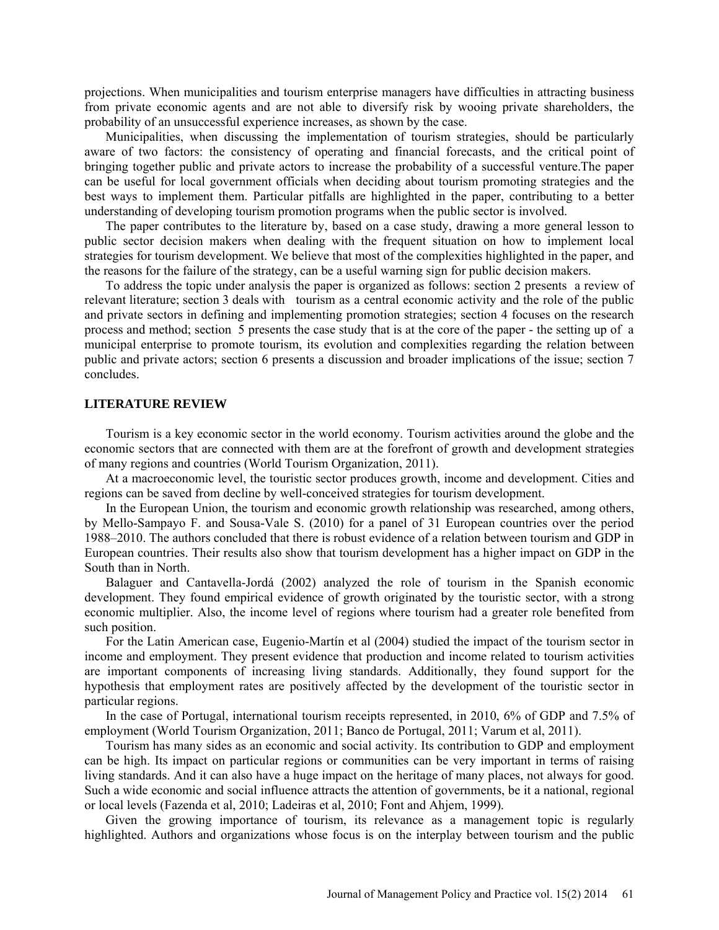projections. When municipalities and tourism enterprise managers have difficulties in attracting business from private economic agents and are not able to diversify risk by wooing private shareholders, the probability of an unsuccessful experience increases, as shown by the case.

Municipalities, when discussing the implementation of tourism strategies, should be particularly aware of two factors: the consistency of operating and financial forecasts, and the critical point of bringing together public and private actors to increase the probability of a successful venture.The paper can be useful for local government officials when deciding about tourism promoting strategies and the best ways to implement them. Particular pitfalls are highlighted in the paper, contributing to a better understanding of developing tourism promotion programs when the public sector is involved.

The paper contributes to the literature by, based on a case study, drawing a more general lesson to public sector decision makers when dealing with the frequent situation on how to implement local strategies for tourism development. We believe that most of the complexities highlighted in the paper, and the reasons for the failure of the strategy, can be a useful warning sign for public decision makers.

To address the topic under analysis the paper is organized as follows: section 2 presents a review of relevant literature; section 3 deals with tourism as a central economic activity and the role of the public and private sectors in defining and implementing promotion strategies; section 4 focuses on the research process and method; section 5 presents the case study that is at the core of the paper - the setting up of a municipal enterprise to promote tourism, its evolution and complexities regarding the relation between public and private actors; section 6 presents a discussion and broader implications of the issue; section 7 concludes.

### **LITERATURE REVIEW**

Tourism is a key economic sector in the world economy. Tourism activities around the globe and the economic sectors that are connected with them are at the forefront of growth and development strategies of many regions and countries (World Tourism Organization, 2011).

At a macroeconomic level, the touristic sector produces growth, income and development. Cities and regions can be saved from decline by well-conceived strategies for tourism development.

In the European Union, the tourism and economic growth relationship was researched, among others, by Mello-Sampayo F. and Sousa-Vale S. (2010) for a panel of 31 European countries over the period 1988–2010. The authors concluded that there is robust evidence of a relation between tourism and GDP in European countries. Their results also show that tourism development has a higher impact on GDP in the South than in North.

Balaguer and Cantavella-Jordá (2002) analyzed the role of tourism in the Spanish economic development. They found empirical evidence of growth originated by the touristic sector, with a strong economic multiplier. Also, the income level of regions where tourism had a greater role benefited from such position.

For the Latin American case, Eugenio-Martín et al (2004) studied the impact of the tourism sector in income and employment. They present evidence that production and income related to tourism activities are important components of increasing living standards. Additionally, they found support for the hypothesis that employment rates are positively affected by the development of the touristic sector in particular regions.

In the case of Portugal, international tourism receipts represented, in 2010, 6% of GDP and 7.5% of employment (World Tourism Organization, 2011; Banco de Portugal, 2011; Varum et al, 2011).

Tourism has many sides as an economic and social activity. Its contribution to GDP and employment can be high. Its impact on particular regions or communities can be very important in terms of raising living standards. And it can also have a huge impact on the heritage of many places, not always for good. Such a wide economic and social influence attracts the attention of governments, be it a national, regional or local levels (Fazenda et al, 2010; Ladeiras et al, 2010; Font and Ahjem, 1999).

Given the growing importance of tourism, its relevance as a management topic is regularly highlighted. Authors and organizations whose focus is on the interplay between tourism and the public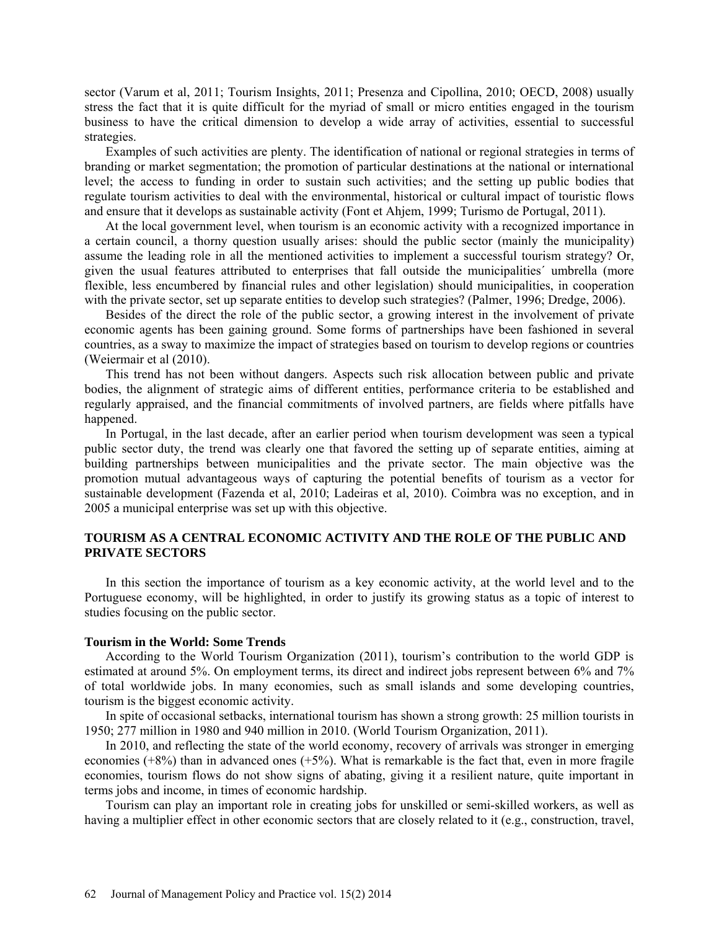sector (Varum et al, 2011; Tourism Insights, 2011; Presenza and Cipollina, 2010; OECD, 2008) usually stress the fact that it is quite difficult for the myriad of small or micro entities engaged in the tourism business to have the critical dimension to develop a wide array of activities, essential to successful strategies.

Examples of such activities are plenty. The identification of national or regional strategies in terms of branding or market segmentation; the promotion of particular destinations at the national or international level; the access to funding in order to sustain such activities; and the setting up public bodies that regulate tourism activities to deal with the environmental, historical or cultural impact of touristic flows and ensure that it develops as sustainable activity (Font et Ahjem, 1999; Turismo de Portugal, 2011).

At the local government level, when tourism is an economic activity with a recognized importance in a certain council, a thorny question usually arises: should the public sector (mainly the municipality) assume the leading role in all the mentioned activities to implement a successful tourism strategy? Or, given the usual features attributed to enterprises that fall outside the municipalities´ umbrella (more flexible, less encumbered by financial rules and other legislation) should municipalities, in cooperation with the private sector, set up separate entities to develop such strategies? (Palmer, 1996; Dredge, 2006).

Besides of the direct the role of the public sector, a growing interest in the involvement of private economic agents has been gaining ground. Some forms of partnerships have been fashioned in several countries, as a sway to maximize the impact of strategies based on tourism to develop regions or countries (Weiermair et al (2010).

This trend has not been without dangers. Aspects such risk allocation between public and private bodies, the alignment of strategic aims of different entities, performance criteria to be established and regularly appraised, and the financial commitments of involved partners, are fields where pitfalls have happened.

In Portugal, in the last decade, after an earlier period when tourism development was seen a typical public sector duty, the trend was clearly one that favored the setting up of separate entities, aiming at building partnerships between municipalities and the private sector. The main objective was the promotion mutual advantageous ways of capturing the potential benefits of tourism as a vector for sustainable development (Fazenda et al, 2010; Ladeiras et al, 2010). Coimbra was no exception, and in 2005 a municipal enterprise was set up with this objective.

# **TOURISM AS A CENTRAL ECONOMIC ACTIVITY AND THE ROLE OF THE PUBLIC AND PRIVATE SECTORS**

In this section the importance of tourism as a key economic activity, at the world level and to the Portuguese economy, will be highlighted, in order to justify its growing status as a topic of interest to studies focusing on the public sector.

#### **Tourism in the World: Some Trends**

According to the World Tourism Organization (2011), tourism's contribution to the world GDP is estimated at around 5%. On employment terms, its direct and indirect jobs represent between 6% and 7% of total worldwide jobs. In many economies, such as small islands and some developing countries, tourism is the biggest economic activity.

In spite of occasional setbacks, international tourism has shown a strong growth: 25 million tourists in 1950; 277 million in 1980 and 940 million in 2010. (World Tourism Organization, 2011).

In 2010, and reflecting the state of the world economy, recovery of arrivals was stronger in emerging economies  $(+8%)$  than in advanced ones  $(+5%)$ . What is remarkable is the fact that, even in more fragile economies, tourism flows do not show signs of abating, giving it a resilient nature, quite important in terms jobs and income, in times of economic hardship.

Tourism can play an important role in creating jobs for unskilled or semi-skilled workers, as well as having a multiplier effect in other economic sectors that are closely related to it (e.g., construction, travel,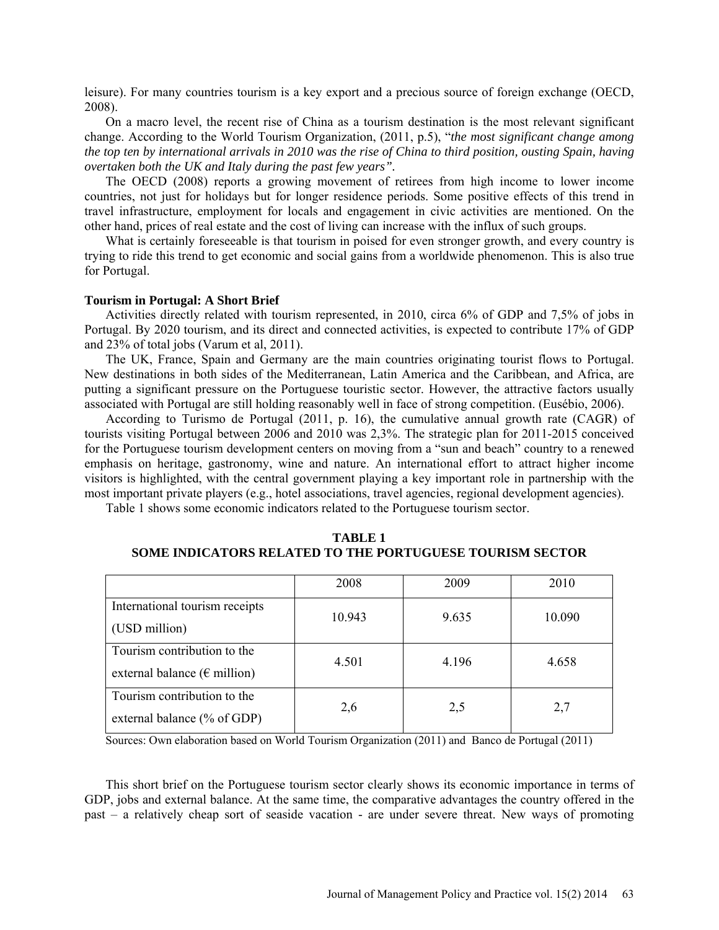leisure). For many countries tourism is a key export and a precious source of foreign exchange (OECD, 2008).

On a macro level, the recent rise of China as a tourism destination is the most relevant significant change. According to the World Tourism Organization, (2011, p.5), "*the most significant change among the top ten by international arrivals in 2010 was the rise of China to third position, ousting Spain, having overtaken both the UK and Italy during the past few years".*

The OECD (2008) reports a growing movement of retirees from high income to lower income countries, not just for holidays but for longer residence periods. Some positive effects of this trend in travel infrastructure, employment for locals and engagement in civic activities are mentioned. On the other hand, prices of real estate and the cost of living can increase with the influx of such groups.

What is certainly foreseeable is that tourism in poised for even stronger growth, and every country is trying to ride this trend to get economic and social gains from a worldwide phenomenon. This is also true for Portugal.

#### **Tourism in Portugal: A Short Brief**

Activities directly related with tourism represented, in 2010, circa 6% of GDP and 7,5% of jobs in Portugal. By 2020 tourism, and its direct and connected activities, is expected to contribute 17% of GDP and 23% of total jobs (Varum et al, 2011).

The UK, France, Spain and Germany are the main countries originating tourist flows to Portugal. New destinations in both sides of the Mediterranean, Latin America and the Caribbean, and Africa, are putting a significant pressure on the Portuguese touristic sector. However, the attractive factors usually associated with Portugal are still holding reasonably well in face of strong competition. (Eusébio, 2006).

According to Turismo de Portugal (2011, p. 16), the cumulative annual growth rate (CAGR) of tourists visiting Portugal between 2006 and 2010 was 2,3%. The strategic plan for 2011-2015 conceived for the Portuguese tourism development centers on moving from a "sun and beach" country to a renewed emphasis on heritage, gastronomy, wine and nature. An international effort to attract higher income visitors is highlighted, with the central government playing a key important role in partnership with the most important private players (e.g., hotel associations, travel agencies, regional development agencies).

Table 1 shows some economic indicators related to the Portuguese tourism sector.

|                                                                       | 2008   | 2009  | 2010   |
|-----------------------------------------------------------------------|--------|-------|--------|
| International tourism receipts<br>(USD million)                       | 10.943 | 9.635 | 10.090 |
| Tourism contribution to the<br>external balance ( $\epsilon$ million) | 4.501  | 4.196 | 4.658  |
| Tourism contribution to the<br>external balance (% of GDP)            | 2,6    | 2,5   | 2,7    |

**TABLE 1 SOME INDICATORS RELATED TO THE PORTUGUESE TOURISM SECTOR**

Sources: Own elaboration based on World Tourism Organization (2011) and Banco de Portugal (2011)

This short brief on the Portuguese tourism sector clearly shows its economic importance in terms of GDP, jobs and external balance. At the same time, the comparative advantages the country offered in the past – a relatively cheap sort of seaside vacation - are under severe threat. New ways of promoting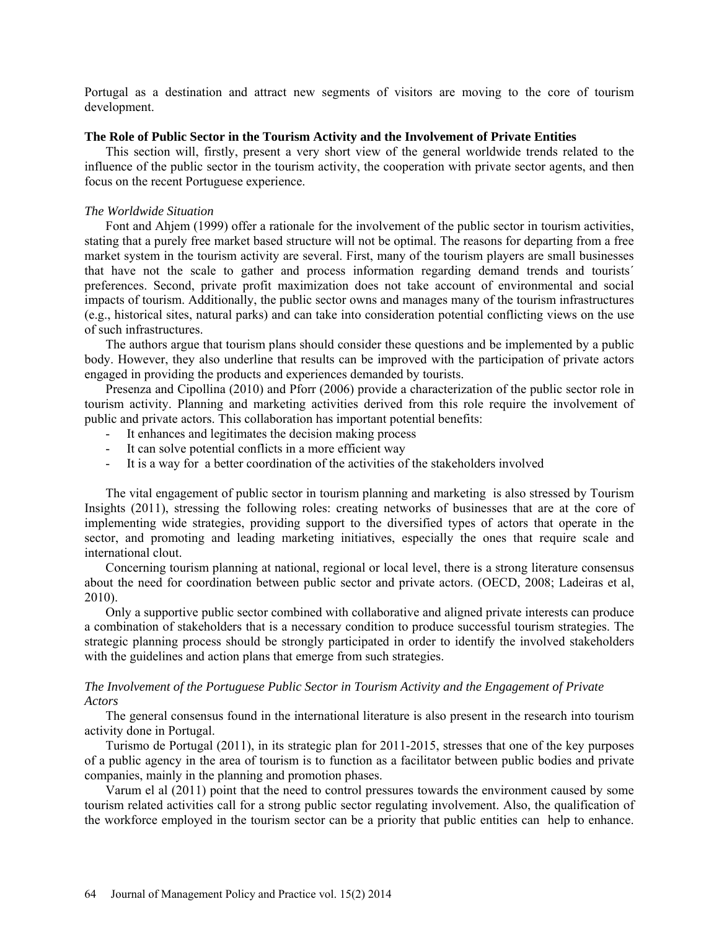Portugal as a destination and attract new segments of visitors are moving to the core of tourism development.

#### **The Role of Public Sector in the Tourism Activity and the Involvement of Private Entities**

This section will, firstly, present a very short view of the general worldwide trends related to the influence of the public sector in the tourism activity, the cooperation with private sector agents, and then focus on the recent Portuguese experience.

### *The Worldwide Situation*

Font and Ahjem (1999) offer a rationale for the involvement of the public sector in tourism activities, stating that a purely free market based structure will not be optimal. The reasons for departing from a free market system in the tourism activity are several. First, many of the tourism players are small businesses that have not the scale to gather and process information regarding demand trends and tourists´ preferences. Second, private profit maximization does not take account of environmental and social impacts of tourism. Additionally, the public sector owns and manages many of the tourism infrastructures (e.g., historical sites, natural parks) and can take into consideration potential conflicting views on the use of such infrastructures.

The authors argue that tourism plans should consider these questions and be implemented by a public body. However, they also underline that results can be improved with the participation of private actors engaged in providing the products and experiences demanded by tourists.

Presenza and Cipollina (2010) and Pforr (2006) provide a characterization of the public sector role in tourism activity. Planning and marketing activities derived from this role require the involvement of public and private actors. This collaboration has important potential benefits:

- It enhances and legitimates the decision making process
- It can solve potential conflicts in a more efficient way
- It is a way for a better coordination of the activities of the stakeholders involved

The vital engagement of public sector in tourism planning and marketing is also stressed by Tourism Insights (2011), stressing the following roles: creating networks of businesses that are at the core of implementing wide strategies, providing support to the diversified types of actors that operate in the sector, and promoting and leading marketing initiatives, especially the ones that require scale and international clout.

Concerning tourism planning at national, regional or local level, there is a strong literature consensus about the need for coordination between public sector and private actors. (OECD, 2008; Ladeiras et al, 2010).

Only a supportive public sector combined with collaborative and aligned private interests can produce a combination of stakeholders that is a necessary condition to produce successful tourism strategies. The strategic planning process should be strongly participated in order to identify the involved stakeholders with the guidelines and action plans that emerge from such strategies.

### *The Involvement of the Portuguese Public Sector in Tourism Activity and the Engagement of Private Actors*

The general consensus found in the international literature is also present in the research into tourism activity done in Portugal.

Turismo de Portugal (2011), in its strategic plan for 2011-2015, stresses that one of the key purposes of a public agency in the area of tourism is to function as a facilitator between public bodies and private companies, mainly in the planning and promotion phases.

Varum el al (2011) point that the need to control pressures towards the environment caused by some tourism related activities call for a strong public sector regulating involvement. Also, the qualification of the workforce employed in the tourism sector can be a priority that public entities can help to enhance.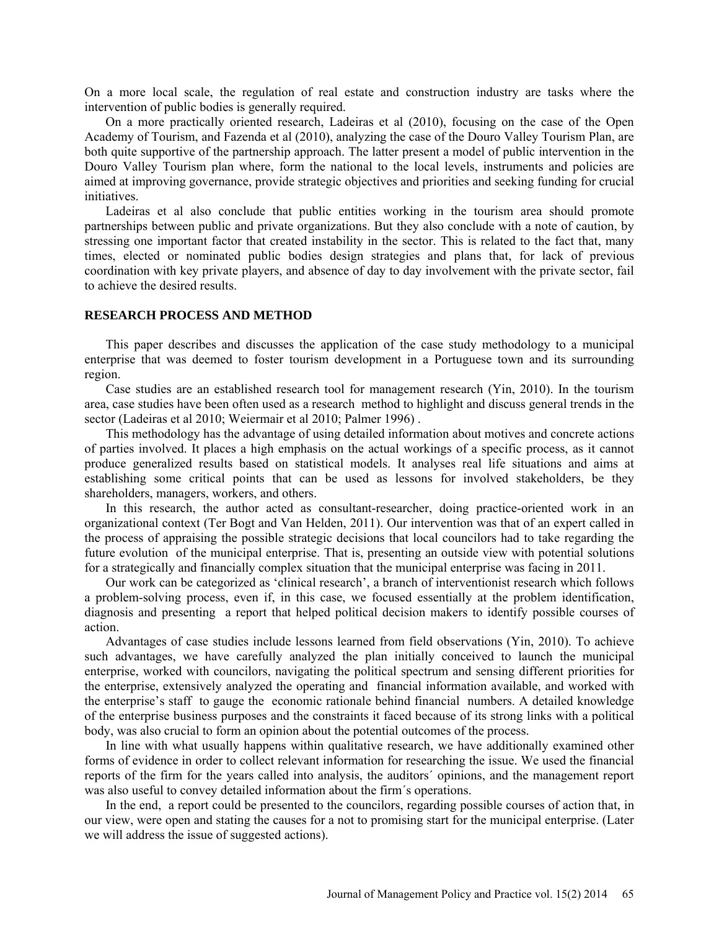On a more local scale, the regulation of real estate and construction industry are tasks where the intervention of public bodies is generally required.

On a more practically oriented research, Ladeiras et al (2010), focusing on the case of the Open Academy of Tourism, and Fazenda et al (2010), analyzing the case of the Douro Valley Tourism Plan, are both quite supportive of the partnership approach. The latter present a model of public intervention in the Douro Valley Tourism plan where, form the national to the local levels, instruments and policies are aimed at improving governance, provide strategic objectives and priorities and seeking funding for crucial initiatives.

Ladeiras et al also conclude that public entities working in the tourism area should promote partnerships between public and private organizations. But they also conclude with a note of caution, by stressing one important factor that created instability in the sector. This is related to the fact that, many times, elected or nominated public bodies design strategies and plans that, for lack of previous coordination with key private players, and absence of day to day involvement with the private sector, fail to achieve the desired results.

### **RESEARCH PROCESS AND METHOD**

This paper describes and discusses the application of the case study methodology to a municipal enterprise that was deemed to foster tourism development in a Portuguese town and its surrounding region.

Case studies are an established research tool for management research (Yin, 2010). In the tourism area, case studies have been often used as a research method to highlight and discuss general trends in the sector (Ladeiras et al 2010; Weiermair et al 2010; Palmer 1996) .

This methodology has the advantage of using detailed information about motives and concrete actions of parties involved. It places a high emphasis on the actual workings of a specific process, as it cannot produce generalized results based on statistical models. It analyses real life situations and aims at establishing some critical points that can be used as lessons for involved stakeholders, be they shareholders, managers, workers, and others.

In this research, the author acted as consultant-researcher, doing practice-oriented work in an organizational context (Ter Bogt and Van Helden, 2011). Our intervention was that of an expert called in the process of appraising the possible strategic decisions that local councilors had to take regarding the future evolution of the municipal enterprise. That is, presenting an outside view with potential solutions for a strategically and financially complex situation that the municipal enterprise was facing in 2011.

Our work can be categorized as 'clinical research', a branch of interventionist research which follows a problem-solving process, even if, in this case, we focused essentially at the problem identification, diagnosis and presenting a report that helped political decision makers to identify possible courses of action.

Advantages of case studies include lessons learned from field observations (Yin, 2010). To achieve such advantages, we have carefully analyzed the plan initially conceived to launch the municipal enterprise, worked with councilors, navigating the political spectrum and sensing different priorities for the enterprise, extensively analyzed the operating and financial information available, and worked with the enterprise's staff to gauge the economic rationale behind financial numbers. A detailed knowledge of the enterprise business purposes and the constraints it faced because of its strong links with a political body, was also crucial to form an opinion about the potential outcomes of the process.

In line with what usually happens within qualitative research, we have additionally examined other forms of evidence in order to collect relevant information for researching the issue. We used the financial reports of the firm for the years called into analysis, the auditors´ opinions, and the management report was also useful to convey detailed information about the firm´s operations.

In the end, a report could be presented to the councilors, regarding possible courses of action that, in our view, were open and stating the causes for a not to promising start for the municipal enterprise. (Later we will address the issue of suggested actions).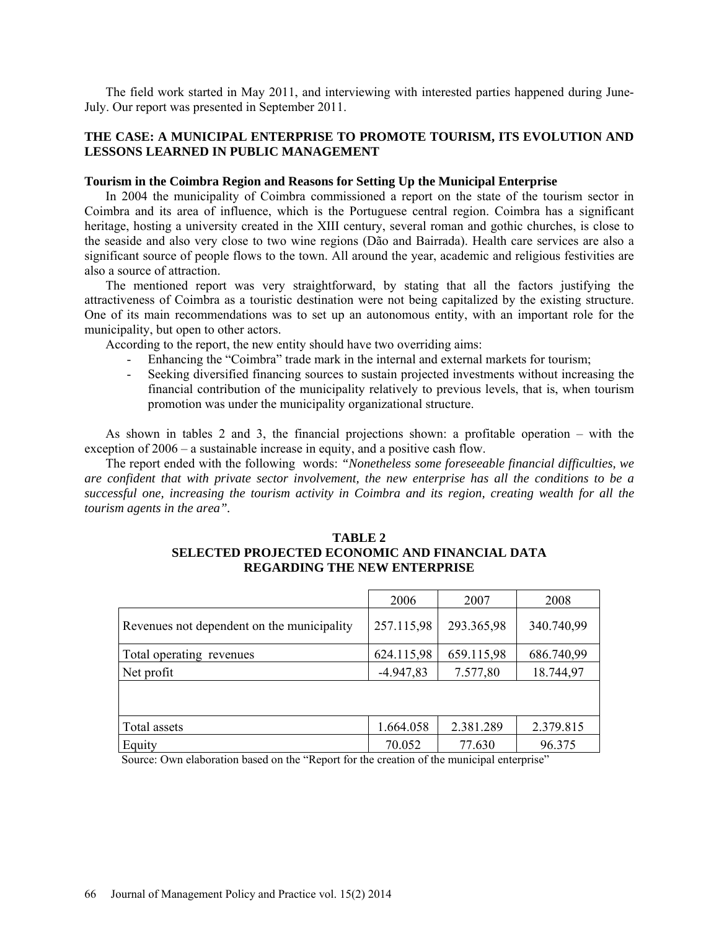The field work started in May 2011, and interviewing with interested parties happened during June-July. Our report was presented in September 2011.

# **THE CASE: A MUNICIPAL ENTERPRISE TO PROMOTE TOURISM, ITS EVOLUTION AND LESSONS LEARNED IN PUBLIC MANAGEMENT**

# **Tourism in the Coimbra Region and Reasons for Setting Up the Municipal Enterprise**

In 2004 the municipality of Coimbra commissioned a report on the state of the tourism sector in Coimbra and its area of influence, which is the Portuguese central region. Coimbra has a significant heritage, hosting a university created in the XIII century, several roman and gothic churches, is close to the seaside and also very close to two wine regions (Dão and Bairrada). Health care services are also a significant source of people flows to the town. All around the year, academic and religious festivities are also a source of attraction.

The mentioned report was very straightforward, by stating that all the factors justifying the attractiveness of Coimbra as a touristic destination were not being capitalized by the existing structure. One of its main recommendations was to set up an autonomous entity, with an important role for the municipality, but open to other actors.

According to the report, the new entity should have two overriding aims:

- Enhancing the "Coimbra" trade mark in the internal and external markets for tourism;
- Seeking diversified financing sources to sustain projected investments without increasing the financial contribution of the municipality relatively to previous levels, that is, when tourism promotion was under the municipality organizational structure.

As shown in tables 2 and 3, the financial projections shown: a profitable operation – with the exception of 2006 – a sustainable increase in equity, and a positive cash flow.

The report ended with the following words: *"Nonetheless some foreseeable financial difficulties, we are confident that with private sector involvement, the new enterprise has all the conditions to be a successful one, increasing the tourism activity in Coimbra and its region, creating wealth for all the tourism agents in the area".*

## **TABLE 2 SELECTED PROJECTED ECONOMIC AND FINANCIAL DATA REGARDING THE NEW ENTERPRISE**

|                                            | 2006        | 2007       | 2008       |
|--------------------------------------------|-------------|------------|------------|
| Revenues not dependent on the municipality | 257.115,98  | 293.365,98 | 340.740,99 |
| Total operating revenues                   | 624.115,98  | 659.115,98 | 686.740,99 |
| Net profit                                 | $-4.947,83$ | 7.577,80   | 18.744,97  |
|                                            |             |            |            |
| Total assets                               | 1.664.058   | 2.381.289  | 2.379.815  |
| Equity                                     | 70.052      | 77.630     | 96.375     |

Source: Own elaboration based on the "Report for the creation of the municipal enterprise"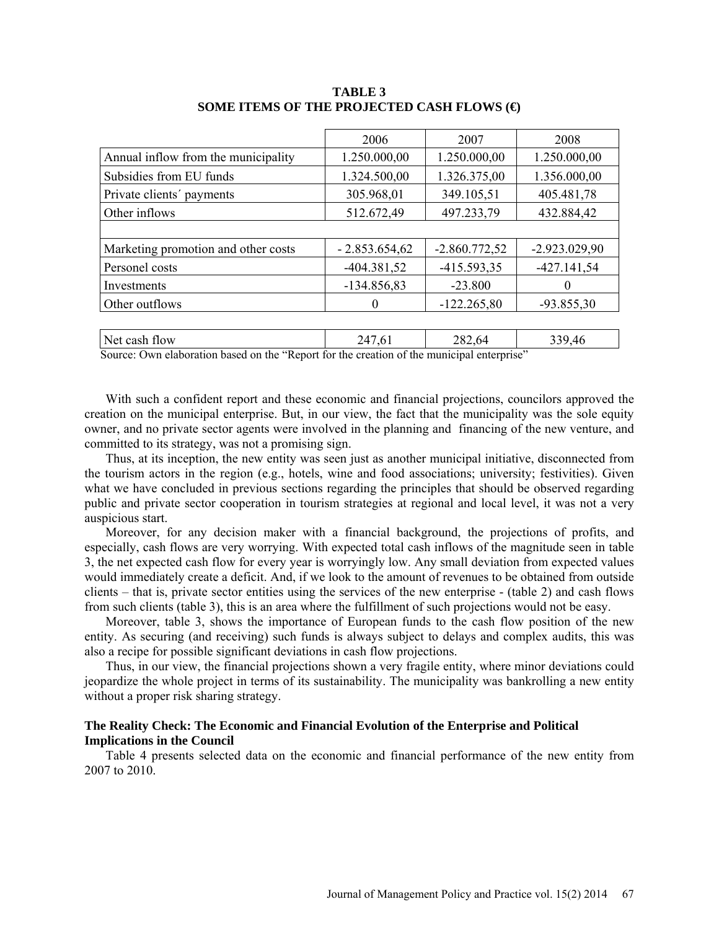|                                     | 2006            | 2007            | 2008            |
|-------------------------------------|-----------------|-----------------|-----------------|
| Annual inflow from the municipality | 1.250.000,00    | 1.250.000,00    | 1.250.000,00    |
| Subsidies from EU funds             | 1.324.500,00    | 1.326.375,00    | 1.356.000,00    |
| Private clients' payments           | 305.968,01      | 349.105,51      | 405.481,78      |
| Other inflows                       | 512.672,49      | 497.233,79      | 432.884,42      |
|                                     |                 |                 |                 |
| Marketing promotion and other costs | $-2.853.654.62$ | $-2.860.772,52$ | $-2.923.029.90$ |
| Personel costs                      | $-404.381,52$   | $-415.593.35$   | $-427.141,54$   |
| Investments                         | $-134.856,83$   | $-23.800$       | 0               |
| Other outflows                      | $\theta$        | $-122.265.80$   | $-93.855.30$    |
|                                     |                 |                 |                 |
| Net cash flow                       | 247,61          | 282,64          | 339,46          |

### **TABLE 3 SOME ITEMS OF THE PROJECTED CASH FLOWS (€)**

Source: Own elaboration based on the "Report for the creation of the municipal enterprise"

With such a confident report and these economic and financial projections, councilors approved the creation on the municipal enterprise. But, in our view, the fact that the municipality was the sole equity owner, and no private sector agents were involved in the planning and financing of the new venture, and committed to its strategy, was not a promising sign.

Thus, at its inception, the new entity was seen just as another municipal initiative, disconnected from the tourism actors in the region (e.g., hotels, wine and food associations; university; festivities). Given what we have concluded in previous sections regarding the principles that should be observed regarding public and private sector cooperation in tourism strategies at regional and local level, it was not a very auspicious start.

Moreover, for any decision maker with a financial background, the projections of profits, and especially, cash flows are very worrying. With expected total cash inflows of the magnitude seen in table 3, the net expected cash flow for every year is worryingly low. Any small deviation from expected values would immediately create a deficit. And, if we look to the amount of revenues to be obtained from outside clients – that is, private sector entities using the services of the new enterprise - (table 2) and cash flows from such clients (table 3), this is an area where the fulfillment of such projections would not be easy.

Moreover, table 3, shows the importance of European funds to the cash flow position of the new entity. As securing (and receiving) such funds is always subject to delays and complex audits, this was also a recipe for possible significant deviations in cash flow projections.

Thus, in our view, the financial projections shown a very fragile entity, where minor deviations could jeopardize the whole project in terms of its sustainability. The municipality was bankrolling a new entity without a proper risk sharing strategy.

### **The Reality Check: The Economic and Financial Evolution of the Enterprise and Political Implications in the Council**

Table 4 presents selected data on the economic and financial performance of the new entity from 2007 to 2010.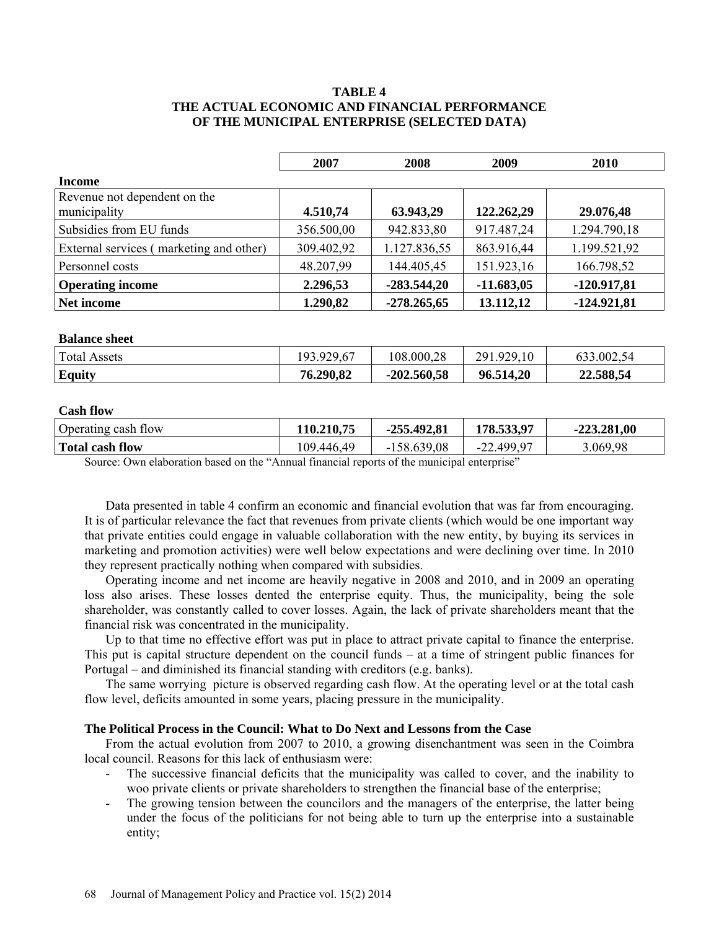# **TABLE 4 THE ACTUAL ECONOMIC AND FINANCIAL PERFORMANCE OF THE MUNICIPAL ENTERPRISE (SELECTED DATA)**

|                                              | 2007       | 2008          | 2009         | 2010          |
|----------------------------------------------|------------|---------------|--------------|---------------|
| Income                                       |            |               |              |               |
| Revenue not dependent on the<br>municipality | 4.510,74   | 63.943,29     | 122.262,29   | 29.076,48     |
| Subsidies from EU funds                      | 356.500,00 | 942.833,80    | 917.487,24   | 1.294.790,18  |
| External services (marketing and other)      | 309.402,92 | 1.127.836,55  | 863.916,44   | 1.199.521,92  |
| Personnel costs                              | 48.207,99  | 144.405,45    | 151.923,16   | 166.798,52    |
| <b>Operating income</b>                      | 2.296,53   | $-283.544,20$ | $-11.683,05$ | $-120.917,81$ |
| Net income                                   | 1.290,82   | $-278.265,65$ | 13.112,12    | $-124.921,81$ |

### **Balance sheet**

| <b>Total Assets</b> | .929,67<br>02 ا | 108.000,28    | .929,10<br>291 | .002,54<br>03. |
|---------------------|-----------------|---------------|----------------|----------------|
| Equity              | 76.290,82       | $-202.560,58$ | 96.514,20      | 22.588,54      |

### **Cash flow**

| Operating cash flow                                                                                                                                                                                                              | 110.210,75 | $-255.492.81$ | 178.533,97 | $-223.281,00$ |
|----------------------------------------------------------------------------------------------------------------------------------------------------------------------------------------------------------------------------------|------------|---------------|------------|---------------|
| Total cash flow                                                                                                                                                                                                                  | 109.446,49 | $-158.639,08$ | -22.499.97 | 3.069,98      |
| $C = C$ 11 $C$ 1 1 $d$ $d$ 1 $d$ 1 $d$ 1 $d$ 1 $e$ 1 $f$ 1 $f$ 1 $f$ 1 $f$ 1 $f$ 1 $f$ 1 $f$ 1 $f$ 1 $f$ 1 $f$ 1 $f$ 1 $f$ 1 $f$ 1 $f$ 1 $f$ 1 $f$ 1 $f$ 1 $f$ 1 $f$ 1 $f$ 1 $f$ 1 $f$ 1 $f$ 1 $f$ 1 $f$ 1 $f$ 1 $f$ 1 $f$ 1 $f$ |            |               |            |               |

Source: Own elaboration based on the "Annual financial reports of the municipal enterprise"

Data presented in table 4 confirm an economic and financial evolution that was far from encouraging. It is of particular relevance the fact that revenues from private clients (which would be one important way that private entities could engage in valuable collaboration with the new entity, by buying its services in marketing and promotion activities) were well below expectations and were declining over time. In 2010 they represent practically nothing when compared with subsidies.

Operating income and net income are heavily negative in 2008 and 2010, and in 2009 an operating loss also arises. These losses dented the enterprise equity. Thus, the municipality, being the sole shareholder, was constantly called to cover losses. Again, the lack of private shareholders meant that the financial risk was concentrated in the municipality.

Up to that time no effective effort was put in place to attract private capital to finance the enterprise. This put is capital structure dependent on the council funds – at a time of stringent public finances for Portugal – and diminished its financial standing with creditors (e.g. banks).

The same worrying picture is observed regarding cash flow. At the operating level or at the total cash flow level, deficits amounted in some years, placing pressure in the municipality.

### **The Political Process in the Council: What to Do Next and Lessons from the Case**

From the actual evolution from 2007 to 2010, a growing disenchantment was seen in the Coimbra local council. Reasons for this lack of enthusiasm were:

- The successive financial deficits that the municipality was called to cover, and the inability to woo private clients or private shareholders to strengthen the financial base of the enterprise;
- The growing tension between the councilors and the managers of the enterprise, the latter being under the focus of the politicians for not being able to turn up the enterprise into a sustainable entity;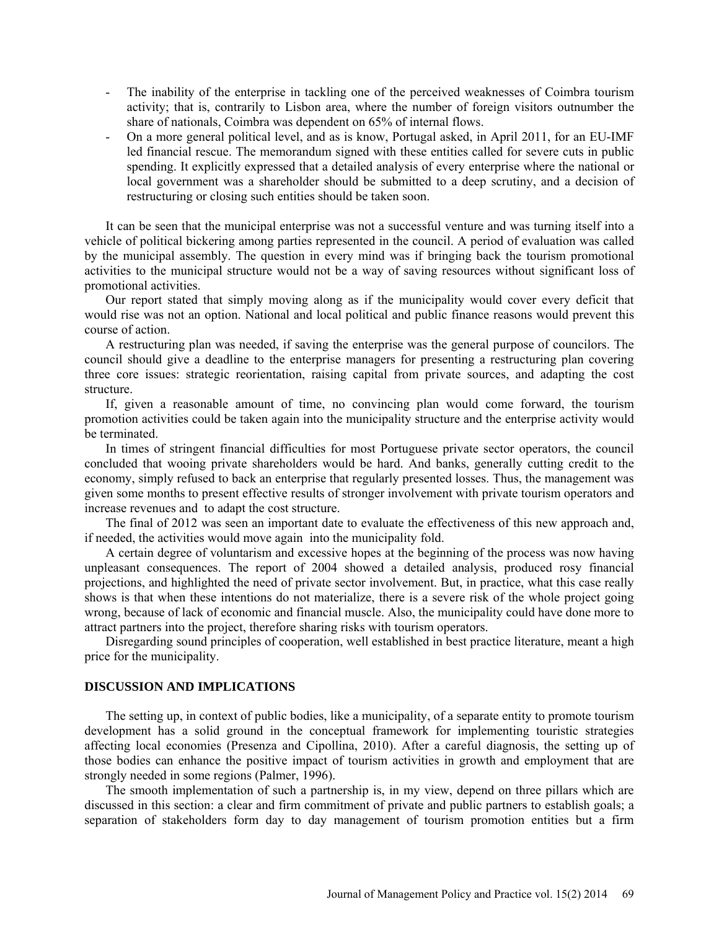- The inability of the enterprise in tackling one of the perceived weaknesses of Coimbra tourism activity; that is, contrarily to Lisbon area, where the number of foreign visitors outnumber the share of nationals, Coimbra was dependent on 65% of internal flows.
- On a more general political level, and as is know, Portugal asked, in April 2011, for an EU-IMF led financial rescue. The memorandum signed with these entities called for severe cuts in public spending. It explicitly expressed that a detailed analysis of every enterprise where the national or local government was a shareholder should be submitted to a deep scrutiny, and a decision of restructuring or closing such entities should be taken soon.

It can be seen that the municipal enterprise was not a successful venture and was turning itself into a vehicle of political bickering among parties represented in the council. A period of evaluation was called by the municipal assembly. The question in every mind was if bringing back the tourism promotional activities to the municipal structure would not be a way of saving resources without significant loss of promotional activities.

Our report stated that simply moving along as if the municipality would cover every deficit that would rise was not an option. National and local political and public finance reasons would prevent this course of action.

A restructuring plan was needed, if saving the enterprise was the general purpose of councilors. The council should give a deadline to the enterprise managers for presenting a restructuring plan covering three core issues: strategic reorientation, raising capital from private sources, and adapting the cost structure.

If, given a reasonable amount of time, no convincing plan would come forward, the tourism promotion activities could be taken again into the municipality structure and the enterprise activity would be terminated.

In times of stringent financial difficulties for most Portuguese private sector operators, the council concluded that wooing private shareholders would be hard. And banks, generally cutting credit to the economy, simply refused to back an enterprise that regularly presented losses. Thus, the management was given some months to present effective results of stronger involvement with private tourism operators and increase revenues and to adapt the cost structure.

The final of 2012 was seen an important date to evaluate the effectiveness of this new approach and, if needed, the activities would move again into the municipality fold.

A certain degree of voluntarism and excessive hopes at the beginning of the process was now having unpleasant consequences. The report of 2004 showed a detailed analysis, produced rosy financial projections, and highlighted the need of private sector involvement. But, in practice, what this case really shows is that when these intentions do not materialize, there is a severe risk of the whole project going wrong, because of lack of economic and financial muscle. Also, the municipality could have done more to attract partners into the project, therefore sharing risks with tourism operators.

Disregarding sound principles of cooperation, well established in best practice literature, meant a high price for the municipality.

# **DISCUSSION AND IMPLICATIONS**

The setting up, in context of public bodies, like a municipality, of a separate entity to promote tourism development has a solid ground in the conceptual framework for implementing touristic strategies affecting local economies (Presenza and Cipollina, 2010). After a careful diagnosis, the setting up of those bodies can enhance the positive impact of tourism activities in growth and employment that are strongly needed in some regions (Palmer, 1996).

The smooth implementation of such a partnership is, in my view, depend on three pillars which are discussed in this section: a clear and firm commitment of private and public partners to establish goals; a separation of stakeholders form day to day management of tourism promotion entities but a firm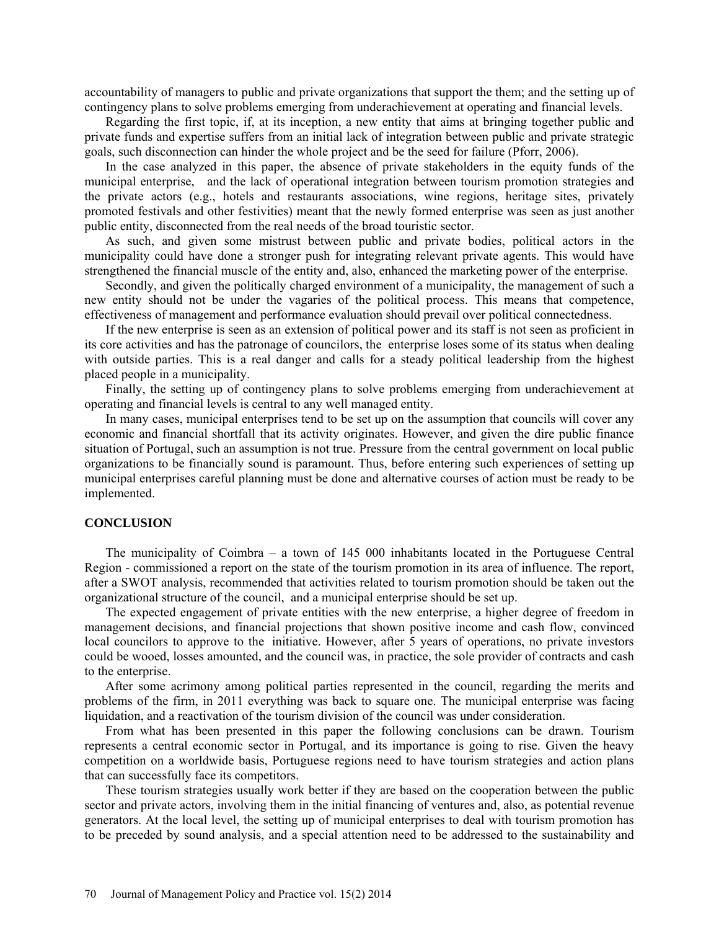accountability of managers to public and private organizations that support the them; and the setting up of contingency plans to solve problems emerging from underachievement at operating and financial levels.

Regarding the first topic, if, at its inception, a new entity that aims at bringing together public and private funds and expertise suffers from an initial lack of integration between public and private strategic goals, such disconnection can hinder the whole project and be the seed for failure (Pforr, 2006).

In the case analyzed in this paper, the absence of private stakeholders in the equity funds of the municipal enterprise, and the lack of operational integration between tourism promotion strategies and the private actors (e.g., hotels and restaurants associations, wine regions, heritage sites, privately promoted festivals and other festivities) meant that the newly formed enterprise was seen as just another public entity, disconnected from the real needs of the broad touristic sector.

As such, and given some mistrust between public and private bodies, political actors in the municipality could have done a stronger push for integrating relevant private agents. This would have strengthened the financial muscle of the entity and, also, enhanced the marketing power of the enterprise.

Secondly, and given the politically charged environment of a municipality, the management of such a new entity should not be under the vagaries of the political process. This means that competence, effectiveness of management and performance evaluation should prevail over political connectedness.

If the new enterprise is seen as an extension of political power and its staff is not seen as proficient in its core activities and has the patronage of councilors, the enterprise loses some of its status when dealing with outside parties. This is a real danger and calls for a steady political leadership from the highest placed people in a municipality.

Finally, the setting up of contingency plans to solve problems emerging from underachievement at operating and financial levels is central to any well managed entity.

In many cases, municipal enterprises tend to be set up on the assumption that councils will cover any economic and financial shortfall that its activity originates. However, and given the dire public finance situation of Portugal, such an assumption is not true. Pressure from the central government on local public organizations to be financially sound is paramount. Thus, before entering such experiences of setting up municipal enterprises careful planning must be done and alternative courses of action must be ready to be implemented.

## **CONCLUSION**

The municipality of Coimbra – a town of 145 000 inhabitants located in the Portuguese Central Region - commissioned a report on the state of the tourism promotion in its area of influence. The report, after a SWOT analysis, recommended that activities related to tourism promotion should be taken out the organizational structure of the council, and a municipal enterprise should be set up.

The expected engagement of private entities with the new enterprise, a higher degree of freedom in management decisions, and financial projections that shown positive income and cash flow, convinced local councilors to approve to the initiative. However, after 5 years of operations, no private investors could be wooed, losses amounted, and the council was, in practice, the sole provider of contracts and cash to the enterprise.

After some acrimony among political parties represented in the council, regarding the merits and problems of the firm, in 2011 everything was back to square one. The municipal enterprise was facing liquidation, and a reactivation of the tourism division of the council was under consideration.

From what has been presented in this paper the following conclusions can be drawn. Tourism represents a central economic sector in Portugal, and its importance is going to rise. Given the heavy competition on a worldwide basis, Portuguese regions need to have tourism strategies and action plans that can successfully face its competitors.

These tourism strategies usually work better if they are based on the cooperation between the public sector and private actors, involving them in the initial financing of ventures and, also, as potential revenue generators. At the local level, the setting up of municipal enterprises to deal with tourism promotion has to be preceded by sound analysis, and a special attention need to be addressed to the sustainability and